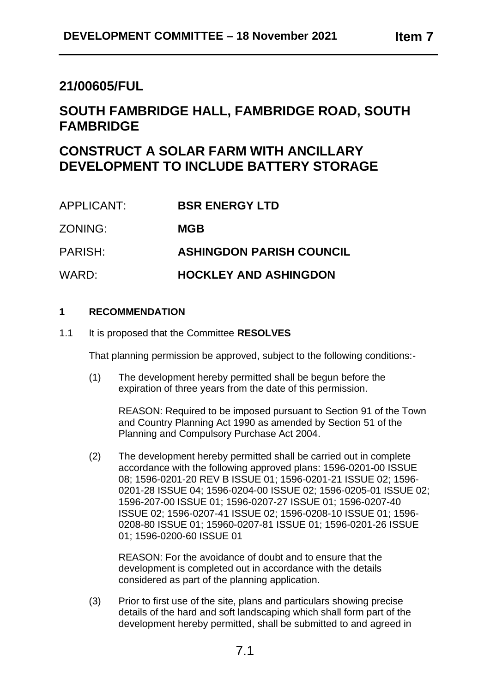## **SOUTH FAMBRIDGE HALL, FAMBRIDGE ROAD, SOUTH FAMBRIDGE**

# **CONSTRUCT A SOLAR FARM WITH ANCILLARY DEVELOPMENT TO INCLUDE BATTERY STORAGE**

| APPLICANT: | <b>BSR ENERGY LTD</b>           |
|------------|---------------------------------|
| ZONING:    | <b>MGB</b>                      |
| PARISH:    | <b>ASHINGDON PARISH COUNCIL</b> |
| WARD:      | <b>HOCKLEY AND ASHINGDON</b>    |

## **1 RECOMMENDATION**

1.1 It is proposed that the Committee **RESOLVES**

That planning permission be approved, subject to the following conditions:-

(1) The development hereby permitted shall be begun before the expiration of three years from the date of this permission.

REASON: Required to be imposed pursuant to Section 91 of the Town and Country Planning Act 1990 as amended by Section 51 of the Planning and Compulsory Purchase Act 2004.

(2) The development hereby permitted shall be carried out in complete accordance with the following approved plans: 1596-0201-00 ISSUE 08; 1596-0201-20 REV B ISSUE 01; 1596-0201-21 ISSUE 02; 1596- 0201-28 ISSUE 04; 1596-0204-00 ISSUE 02; 1596-0205-01 ISSUE 02; 1596-207-00 ISSUE 01; 1596-0207-27 ISSUE 01; 1596-0207-40 ISSUE 02; 1596-0207-41 ISSUE 02; 1596-0208-10 ISSUE 01; 1596- 0208-80 ISSUE 01; 15960-0207-81 ISSUE 01; 1596-0201-26 ISSUE 01; 1596-0200-60 ISSUE 01

REASON: For the avoidance of doubt and to ensure that the development is completed out in accordance with the details considered as part of the planning application.

(3) Prior to first use of the site, plans and particulars showing precise details of the hard and soft landscaping which shall form part of the development hereby permitted, shall be submitted to and agreed in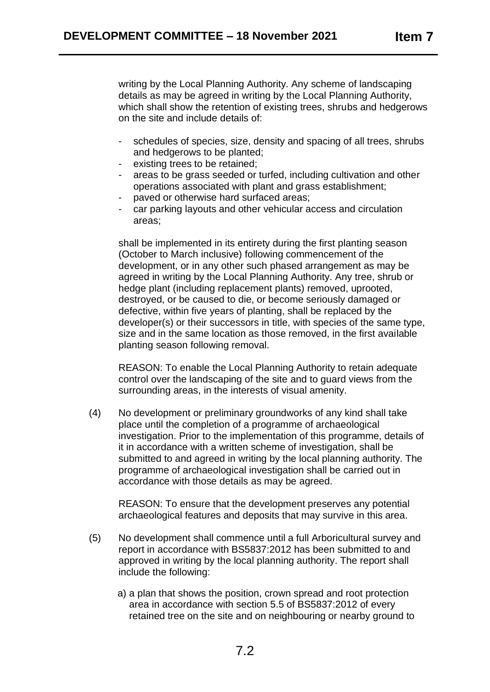writing by the Local Planning Authority. Any scheme of landscaping details as may be agreed in writing by the Local Planning Authority, which shall show the retention of existing trees, shrubs and hedgerows on the site and include details of:

- schedules of species, size, density and spacing of all trees, shrubs and hedgerows to be planted;
- existing trees to be retained;
- areas to be grass seeded or turfed, including cultivation and other operations associated with plant and grass establishment;
- paved or otherwise hard surfaced areas;
- car parking layouts and other vehicular access and circulation areas;

shall be implemented in its entirety during the first planting season (October to March inclusive) following commencement of the development, or in any other such phased arrangement as may be agreed in writing by the Local Planning Authority. Any tree, shrub or hedge plant (including replacement plants) removed, uprooted, destroyed, or be caused to die, or become seriously damaged or defective, within five years of planting, shall be replaced by the developer(s) or their successors in title, with species of the same type, size and in the same location as those removed, in the first available planting season following removal.

REASON: To enable the Local Planning Authority to retain adequate control over the landscaping of the site and to guard views from the surrounding areas, in the interests of visual amenity.

(4) No development or preliminary groundworks of any kind shall take place until the completion of a programme of archaeological investigation. Prior to the implementation of this programme, details of it in accordance with a written scheme of investigation, shall be submitted to and agreed in writing by the local planning authority. The programme of archaeological investigation shall be carried out in accordance with those details as may be agreed.

REASON: To ensure that the development preserves any potential archaeological features and deposits that may survive in this area.

- (5) No development shall commence until a full Arboricultural survey and report in accordance with BS5837:2012 has been submitted to and approved in writing by the local planning authority. The report shall include the following:
	- a) a plan that shows the position, crown spread and root protection area in accordance with section 5.5 of BS5837:2012 of every retained tree on the site and on neighbouring or nearby ground to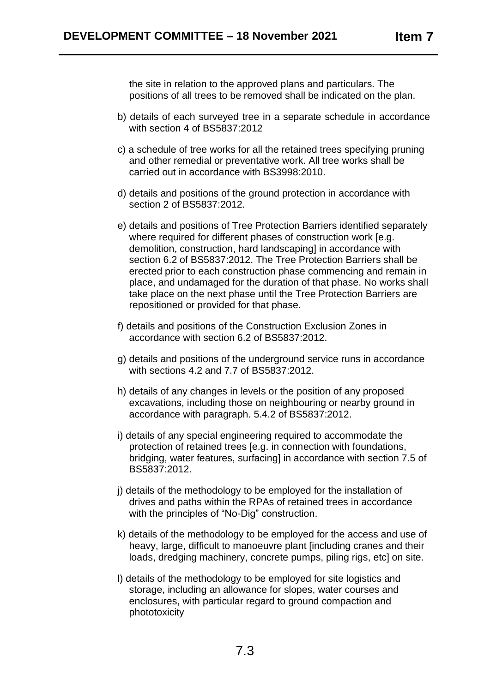the site in relation to the approved plans and particulars. The positions of all trees to be removed shall be indicated on the plan.

- b) details of each surveyed tree in a separate schedule in accordance with section 4 of BS5837:2012
- c) a schedule of tree works for all the retained trees specifying pruning and other remedial or preventative work. All tree works shall be carried out in accordance with BS3998:2010.
- d) details and positions of the ground protection in accordance with section 2 of BS5837:2012.
- e) details and positions of Tree Protection Barriers identified separately where required for different phases of construction work [e.g. demolition, construction, hard landscaping] in accordance with section 6.2 of BS5837:2012. The Tree Protection Barriers shall be erected prior to each construction phase commencing and remain in place, and undamaged for the duration of that phase. No works shall take place on the next phase until the Tree Protection Barriers are repositioned or provided for that phase.
- f) details and positions of the Construction Exclusion Zones in accordance with section 6.2 of BS5837:2012.
- g) details and positions of the underground service runs in accordance with sections 4.2 and 7.7 of BS5837:2012.
- h) details of any changes in levels or the position of any proposed excavations, including those on neighbouring or nearby ground in accordance with paragraph. 5.4.2 of BS5837:2012.
- i) details of any special engineering required to accommodate the protection of retained trees [e.g. in connection with foundations, bridging, water features, surfacing] in accordance with section 7.5 of BS5837:2012.
- j) details of the methodology to be employed for the installation of drives and paths within the RPAs of retained trees in accordance with the principles of "No-Dig" construction.
- k) details of the methodology to be employed for the access and use of heavy, large, difficult to manoeuvre plant lincluding cranes and their loads, dredging machinery, concrete pumps, piling rigs, etc] on site.
- l) details of the methodology to be employed for site logistics and storage, including an allowance for slopes, water courses and enclosures, with particular regard to ground compaction and phototoxicity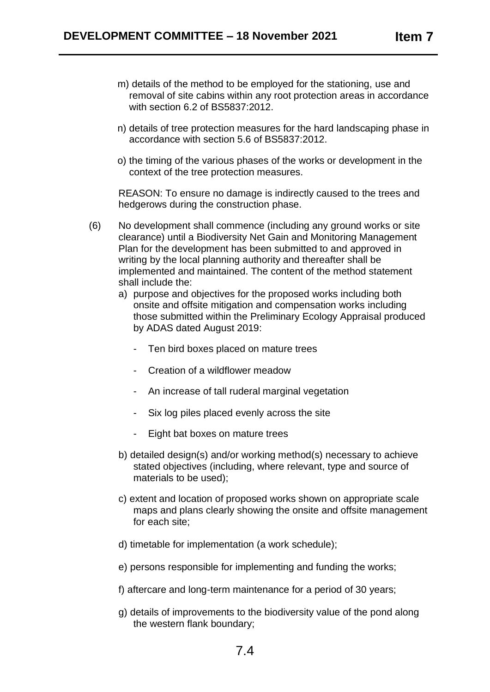- m) details of the method to be employed for the stationing, use and removal of site cabins within any root protection areas in accordance with section 6.2 of BS5837:2012.
- n) details of tree protection measures for the hard landscaping phase in accordance with section 5.6 of BS5837:2012.
- o) the timing of the various phases of the works or development in the context of the tree protection measures.

REASON: To ensure no damage is indirectly caused to the trees and hedgerows during the construction phase.

- (6) No development shall commence (including any ground works or site clearance) until a Biodiversity Net Gain and Monitoring Management Plan for the development has been submitted to and approved in writing by the local planning authority and thereafter shall be implemented and maintained. The content of the method statement shall include the:
	- a) purpose and objectives for the proposed works including both onsite and offsite mitigation and compensation works including those submitted within the Preliminary Ecology Appraisal produced by ADAS dated August 2019:
		- Ten bird boxes placed on mature trees
		- Creation of a wildflower meadow
		- An increase of tall ruderal marginal vegetation
		- Six log piles placed evenly across the site
		- Eight bat boxes on mature trees
	- b) detailed design(s) and/or working method(s) necessary to achieve stated objectives (including, where relevant, type and source of materials to be used);
	- c) extent and location of proposed works shown on appropriate scale maps and plans clearly showing the onsite and offsite management for each site;
	- d) timetable for implementation (a work schedule);
	- e) persons responsible for implementing and funding the works;
	- f) aftercare and long-term maintenance for a period of 30 years;
	- g) details of improvements to the biodiversity value of the pond along the western flank boundary;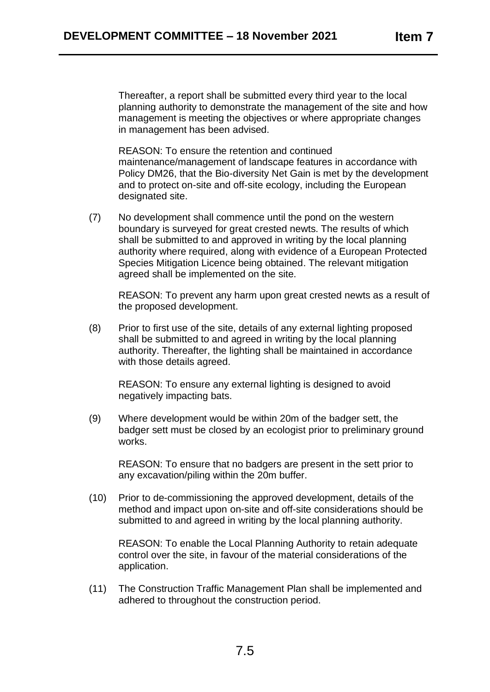Thereafter, a report shall be submitted every third year to the local planning authority to demonstrate the management of the site and how management is meeting the objectives or where appropriate changes in management has been advised.

REASON: To ensure the retention and continued maintenance/management of landscape features in accordance with Policy DM26, that the Bio-diversity Net Gain is met by the development and to protect on-site and off-site ecology, including the European designated site.

(7) No development shall commence until the pond on the western boundary is surveyed for great crested newts. The results of which shall be submitted to and approved in writing by the local planning authority where required, along with evidence of a European Protected Species Mitigation Licence being obtained. The relevant mitigation agreed shall be implemented on the site.

REASON: To prevent any harm upon great crested newts as a result of the proposed development.

(8) Prior to first use of the site, details of any external lighting proposed shall be submitted to and agreed in writing by the local planning authority. Thereafter, the lighting shall be maintained in accordance with those details agreed.

REASON: To ensure any external lighting is designed to avoid negatively impacting bats.

(9) Where development would be within 20m of the badger sett, the badger sett must be closed by an ecologist prior to preliminary ground works.

REASON: To ensure that no badgers are present in the sett prior to any excavation/piling within the 20m buffer.

(10) Prior to de-commissioning the approved development, details of the method and impact upon on-site and off-site considerations should be submitted to and agreed in writing by the local planning authority.

REASON: To enable the Local Planning Authority to retain adequate control over the site, in favour of the material considerations of the application.

(11) The Construction Traffic Management Plan shall be implemented and adhered to throughout the construction period.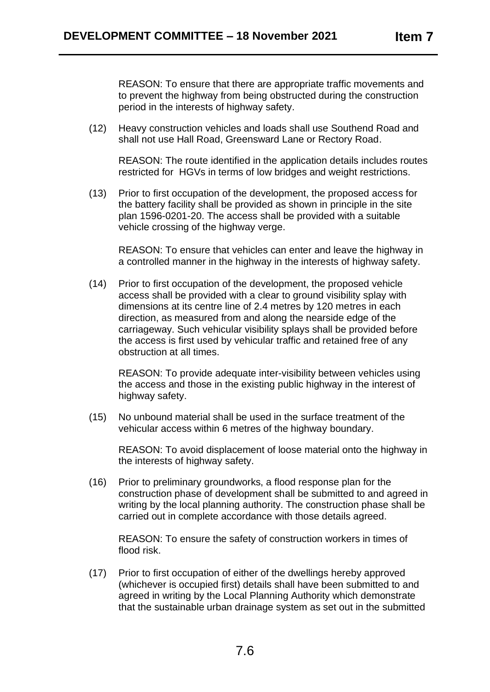REASON: To ensure that there are appropriate traffic movements and to prevent the highway from being obstructed during the construction period in the interests of highway safety.

(12) Heavy construction vehicles and loads shall use Southend Road and shall not use Hall Road, Greensward Lane or Rectory Road.

REASON: The route identified in the application details includes routes restricted for HGVs in terms of low bridges and weight restrictions.

(13) Prior to first occupation of the development, the proposed access for the battery facility shall be provided as shown in principle in the site plan 1596-0201-20. The access shall be provided with a suitable vehicle crossing of the highway verge.

REASON: To ensure that vehicles can enter and leave the highway in a controlled manner in the highway in the interests of highway safety.

(14) Prior to first occupation of the development, the proposed vehicle access shall be provided with a clear to ground visibility splay with dimensions at its centre line of 2.4 metres by 120 metres in each direction, as measured from and along the nearside edge of the carriageway. Such vehicular visibility splays shall be provided before the access is first used by vehicular traffic and retained free of any obstruction at all times.

REASON: To provide adequate inter-visibility between vehicles using the access and those in the existing public highway in the interest of highway safety.

(15) No unbound material shall be used in the surface treatment of the vehicular access within 6 metres of the highway boundary.

REASON: To avoid displacement of loose material onto the highway in the interests of highway safety.

(16) Prior to preliminary groundworks, a flood response plan for the construction phase of development shall be submitted to and agreed in writing by the local planning authority. The construction phase shall be carried out in complete accordance with those details agreed.

REASON: To ensure the safety of construction workers in times of flood risk.

(17) Prior to first occupation of either of the dwellings hereby approved (whichever is occupied first) details shall have been submitted to and agreed in writing by the Local Planning Authority which demonstrate that the sustainable urban drainage system as set out in the submitted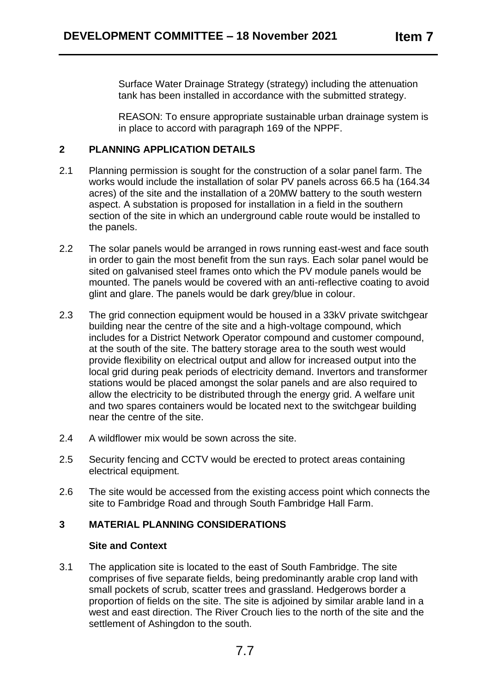Surface Water Drainage Strategy (strategy) including the attenuation tank has been installed in accordance with the submitted strategy.

REASON: To ensure appropriate sustainable urban drainage system is in place to accord with paragraph 169 of the NPPF.

## **2 PLANNING APPLICATION DETAILS**

- 2.1 Planning permission is sought for the construction of a solar panel farm. The works would include the installation of solar PV panels across 66.5 ha (164.34 acres) of the site and the installation of a 20MW battery to the south western aspect. A substation is proposed for installation in a field in the southern section of the site in which an underground cable route would be installed to the panels.
- 2.2 The solar panels would be arranged in rows running east-west and face south in order to gain the most benefit from the sun rays. Each solar panel would be sited on galvanised steel frames onto which the PV module panels would be mounted. The panels would be covered with an anti-reflective coating to avoid glint and glare. The panels would be dark grey/blue in colour.
- 2.3 The grid connection equipment would be housed in a 33kV private switchgear building near the centre of the site and a high-voltage compound, which includes for a District Network Operator compound and customer compound, at the south of the site. The battery storage area to the south west would provide flexibility on electrical output and allow for increased output into the local grid during peak periods of electricity demand. Invertors and transformer stations would be placed amongst the solar panels and are also required to allow the electricity to be distributed through the energy grid. A welfare unit and two spares containers would be located next to the switchgear building near the centre of the site.
- 2.4 A wildflower mix would be sown across the site.
- 2.5 Security fencing and CCTV would be erected to protect areas containing electrical equipment.
- 2.6 The site would be accessed from the existing access point which connects the site to Fambridge Road and through South Fambridge Hall Farm.

## **3 MATERIAL PLANNING CONSIDERATIONS**

## **Site and Context**

3.1 The application site is located to the east of South Fambridge. The site comprises of five separate fields, being predominantly arable crop land with small pockets of scrub, scatter trees and grassland. Hedgerows border a proportion of fields on the site. The site is adjoined by similar arable land in a west and east direction. The River Crouch lies to the north of the site and the settlement of Ashingdon to the south.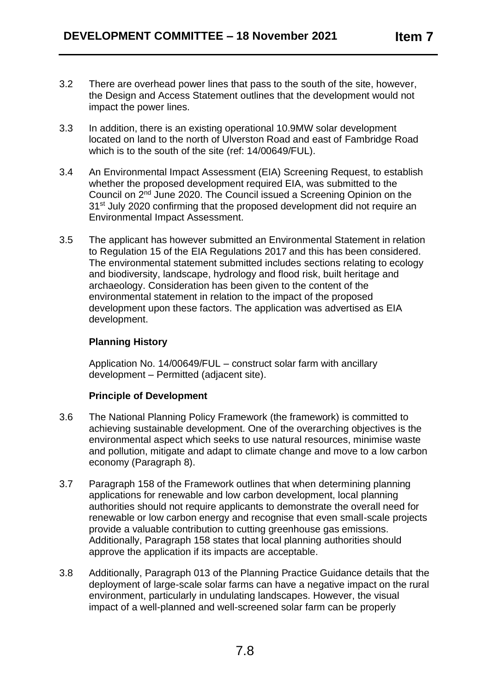- 3.2 There are overhead power lines that pass to the south of the site, however, the Design and Access Statement outlines that the development would not impact the power lines.
- 3.3 In addition, there is an existing operational 10.9MW solar development located on land to the north of Ulverston Road and east of Fambridge Road which is to the south of the site (ref: 14/00649/FUL).
- 3.4 An Environmental Impact Assessment (EIA) Screening Request, to establish whether the proposed development required EIA, was submitted to the Council on 2<sup>nd</sup> June 2020. The Council issued a Screening Opinion on the 31<sup>st</sup> July 2020 confirming that the proposed development did not require an Environmental Impact Assessment.
- 3.5 The applicant has however submitted an Environmental Statement in relation to Regulation 15 of the EIA Regulations 2017 and this has been considered. The environmental statement submitted includes sections relating to ecology and biodiversity, landscape, hydrology and flood risk, built heritage and archaeology. Consideration has been given to the content of the environmental statement in relation to the impact of the proposed development upon these factors. The application was advertised as EIA development.

## **Planning History**

Application No. 14/00649/FUL – construct solar farm with ancillary development – Permitted (adjacent site).

## **Principle of Development**

- 3.6 The National Planning Policy Framework (the framework) is committed to achieving sustainable development. One of the overarching objectives is the environmental aspect which seeks to use natural resources, minimise waste and pollution, mitigate and adapt to climate change and move to a low carbon economy (Paragraph 8).
- 3.7 Paragraph 158 of the Framework outlines that when determining planning applications for renewable and low carbon development, local planning authorities should not require applicants to demonstrate the overall need for renewable or low carbon energy and recognise that even small-scale projects provide a valuable contribution to cutting greenhouse gas emissions. Additionally, Paragraph 158 states that local planning authorities should approve the application if its impacts are acceptable.
- 3.8 Additionally, Paragraph 013 of the Planning Practice Guidance details that the deployment of large-scale solar farms can have a negative impact on the rural environment, particularly in undulating landscapes. However, the visual impact of a well-planned and well-screened solar farm can be properly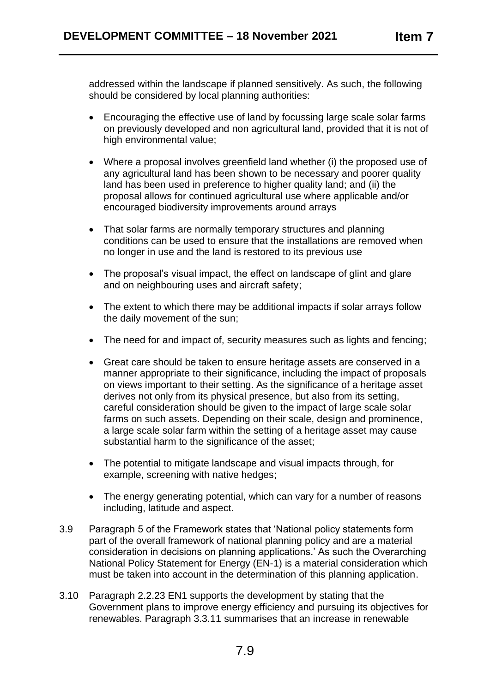addressed within the landscape if planned sensitively. As such, the following should be considered by local planning authorities:

- Encouraging the effective use of land by focussing large scale solar farms on previously developed and non agricultural land, provided that it is not of high environmental value;
- Where a proposal involves greenfield land whether (i) the proposed use of any agricultural land has been shown to be necessary and poorer quality land has been used in preference to higher quality land; and (ii) the proposal allows for continued agricultural use where applicable and/or encouraged biodiversity improvements around arrays
- That solar farms are normally temporary structures and planning conditions can be used to ensure that the installations are removed when no longer in use and the land is restored to its previous use
- The proposal's visual impact, the effect on landscape of glint and glare and on neighbouring uses and aircraft safety;
- The extent to which there may be additional impacts if solar arrays follow the daily movement of the sun;
- The need for and impact of, security measures such as lights and fencing:
- Great care should be taken to ensure heritage assets are conserved in a manner appropriate to their significance, including the impact of proposals on views important to their setting. As the significance of a heritage asset derives not only from its physical presence, but also from its setting, careful consideration should be given to the impact of large scale solar farms on such assets. Depending on their scale, design and prominence, a large scale solar farm within the setting of a heritage asset may cause substantial harm to the significance of the asset;
- The potential to mitigate landscape and visual impacts through, for example, screening with native hedges;
- The energy generating potential, which can vary for a number of reasons including, latitude and aspect.
- 3.9 Paragraph 5 of the Framework states that 'National policy statements form part of the overall framework of national planning policy and are a material consideration in decisions on planning applications.' As such the Overarching National Policy Statement for Energy (EN-1) is a material consideration which must be taken into account in the determination of this planning application.
- 3.10 Paragraph 2.2.23 EN1 supports the development by stating that the Government plans to improve energy efficiency and pursuing its objectives for renewables. Paragraph 3.3.11 summarises that an increase in renewable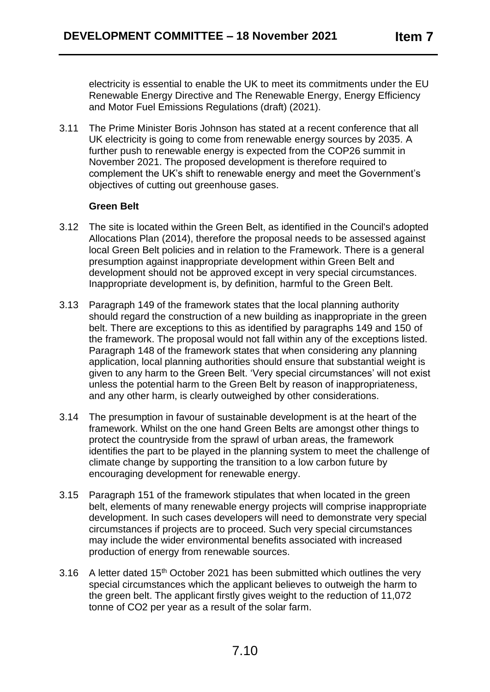electricity is essential to enable the UK to meet its commitments under the EU Renewable Energy Directive and The Renewable Energy, Energy Efficiency and Motor Fuel Emissions Regulations (draft) (2021).

3.11 The Prime Minister Boris Johnson has stated at a recent conference that all UK electricity is going to come from renewable energy sources by 2035. A further push to renewable energy is expected from the COP26 summit in November 2021. The proposed development is therefore required to complement the UK's shift to renewable energy and meet the Government's objectives of cutting out greenhouse gases.

### **Green Belt**

- 3.12 The site is located within the Green Belt, as identified in the Council's adopted Allocations Plan (2014), therefore the proposal needs to be assessed against local Green Belt policies and in relation to the Framework. There is a general presumption against inappropriate development within Green Belt and development should not be approved except in very special circumstances. Inappropriate development is, by definition, harmful to the Green Belt.
- 3.13 Paragraph 149 of the framework states that the local planning authority should regard the construction of a new building as inappropriate in the green belt. There are exceptions to this as identified by paragraphs 149 and 150 of the framework. The proposal would not fall within any of the exceptions listed. Paragraph 148 of the framework states that when considering any planning application, local planning authorities should ensure that substantial weight is given to any harm to the Green Belt. 'Very special circumstances' will not exist unless the potential harm to the Green Belt by reason of inappropriateness, and any other harm, is clearly outweighed by other considerations.
- 3.14 The presumption in favour of sustainable development is at the heart of the framework. Whilst on the one hand Green Belts are amongst other things to protect the countryside from the sprawl of urban areas, the framework identifies the part to be played in the planning system to meet the challenge of climate change by supporting the transition to a low carbon future by encouraging development for renewable energy.
- 3.15 Paragraph 151 of the framework stipulates that when located in the green belt, elements of many renewable energy projects will comprise inappropriate development. In such cases developers will need to demonstrate very special circumstances if projects are to proceed. Such very special circumstances may include the wider environmental benefits associated with increased production of energy from renewable sources.
- 3.16 A letter dated  $15<sup>th</sup>$  October 2021 has been submitted which outlines the very special circumstances which the applicant believes to outweigh the harm to the green belt. The applicant firstly gives weight to the reduction of 11,072 tonne of CO2 per year as a result of the solar farm.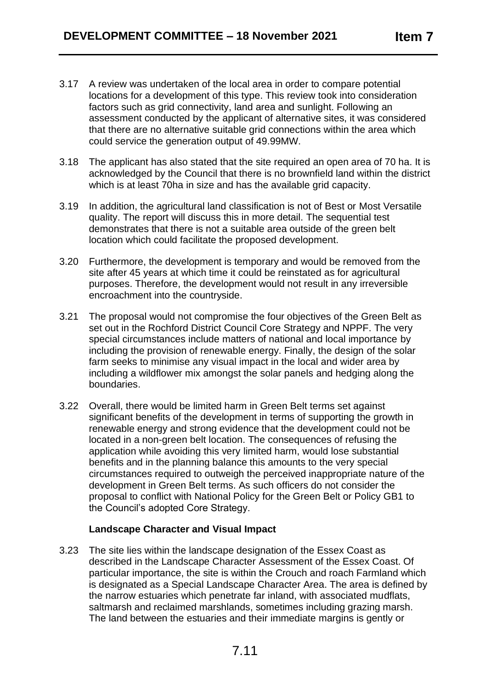- 3.17 A review was undertaken of the local area in order to compare potential locations for a development of this type. This review took into consideration factors such as grid connectivity, land area and sunlight. Following an assessment conducted by the applicant of alternative sites, it was considered that there are no alternative suitable grid connections within the area which could service the generation output of 49.99MW.
- 3.18 The applicant has also stated that the site required an open area of 70 ha. It is acknowledged by the Council that there is no brownfield land within the district which is at least 70ha in size and has the available grid capacity.
- 3.19 In addition, the agricultural land classification is not of Best or Most Versatile quality. The report will discuss this in more detail. The sequential test demonstrates that there is not a suitable area outside of the green belt location which could facilitate the proposed development.
- 3.20 Furthermore, the development is temporary and would be removed from the site after 45 years at which time it could be reinstated as for agricultural purposes. Therefore, the development would not result in any irreversible encroachment into the countryside.
- 3.21 The proposal would not compromise the four objectives of the Green Belt as set out in the Rochford District Council Core Strategy and NPPF. The very special circumstances include matters of national and local importance by including the provision of renewable energy. Finally, the design of the solar farm seeks to minimise any visual impact in the local and wider area by including a wildflower mix amongst the solar panels and hedging along the boundaries.
- 3.22 Overall, there would be limited harm in Green Belt terms set against significant benefits of the development in terms of supporting the growth in renewable energy and strong evidence that the development could not be located in a non-green belt location. The consequences of refusing the application while avoiding this very limited harm, would lose substantial benefits and in the planning balance this amounts to the very special circumstances required to outweigh the perceived inappropriate nature of the development in Green Belt terms. As such officers do not consider the proposal to conflict with National Policy for the Green Belt or Policy GB1 to the Council's adopted Core Strategy.

#### **Landscape Character and Visual Impact**

3.23 The site lies within the landscape designation of the Essex Coast as described in the Landscape Character Assessment of the Essex Coast. Of particular importance, the site is within the Crouch and roach Farmland which is designated as a Special Landscape Character Area. The area is defined by the narrow estuaries which penetrate far inland, with associated mudflats, saltmarsh and reclaimed marshlands, sometimes including grazing marsh. The land between the estuaries and their immediate margins is gently or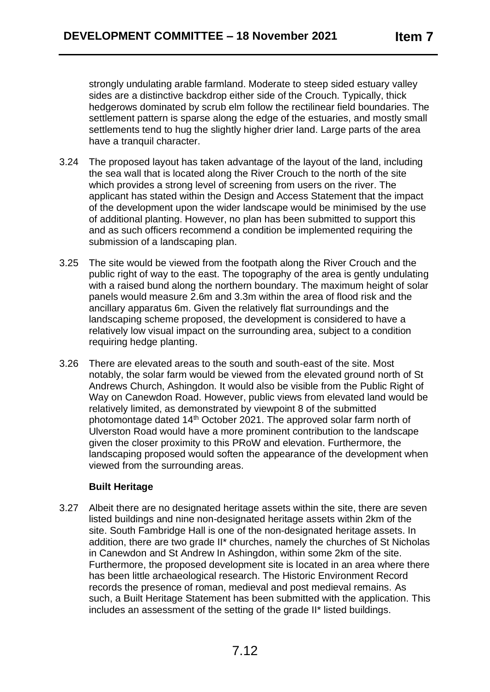strongly undulating arable farmland. Moderate to steep sided estuary valley sides are a distinctive backdrop either side of the Crouch. Typically, thick hedgerows dominated by scrub elm follow the rectilinear field boundaries. The settlement pattern is sparse along the edge of the estuaries, and mostly small settlements tend to hug the slightly higher drier land. Large parts of the area have a tranquil character.

- 3.24 The proposed layout has taken advantage of the layout of the land, including the sea wall that is located along the River Crouch to the north of the site which provides a strong level of screening from users on the river. The applicant has stated within the Design and Access Statement that the impact of the development upon the wider landscape would be minimised by the use of additional planting. However, no plan has been submitted to support this and as such officers recommend a condition be implemented requiring the submission of a landscaping plan.
- 3.25 The site would be viewed from the footpath along the River Crouch and the public right of way to the east. The topography of the area is gently undulating with a raised bund along the northern boundary. The maximum height of solar panels would measure 2.6m and 3.3m within the area of flood risk and the ancillary apparatus 6m. Given the relatively flat surroundings and the landscaping scheme proposed, the development is considered to have a relatively low visual impact on the surrounding area, subject to a condition requiring hedge planting.
- 3.26 There are elevated areas to the south and south-east of the site. Most notably, the solar farm would be viewed from the elevated ground north of St Andrews Church, Ashingdon. It would also be visible from the Public Right of Way on Canewdon Road. However, public views from elevated land would be relatively limited, as demonstrated by viewpoint 8 of the submitted photomontage dated 14<sup>th</sup> October 2021. The approved solar farm north of Ulverston Road would have a more prominent contribution to the landscape given the closer proximity to this PRoW and elevation. Furthermore, the landscaping proposed would soften the appearance of the development when viewed from the surrounding areas.

## **Built Heritage**

3.27 Albeit there are no designated heritage assets within the site, there are seven listed buildings and nine non-designated heritage assets within 2km of the site. South Fambridge Hall is one of the non-designated heritage assets. In addition, there are two grade II\* churches, namely the churches of St Nicholas in Canewdon and St Andrew In Ashingdon, within some 2km of the site. Furthermore, the proposed development site is located in an area where there has been little archaeological research. The Historic Environment Record records the presence of roman, medieval and post medieval remains. As such, a Built Heritage Statement has been submitted with the application. This includes an assessment of the setting of the grade II\* listed buildings.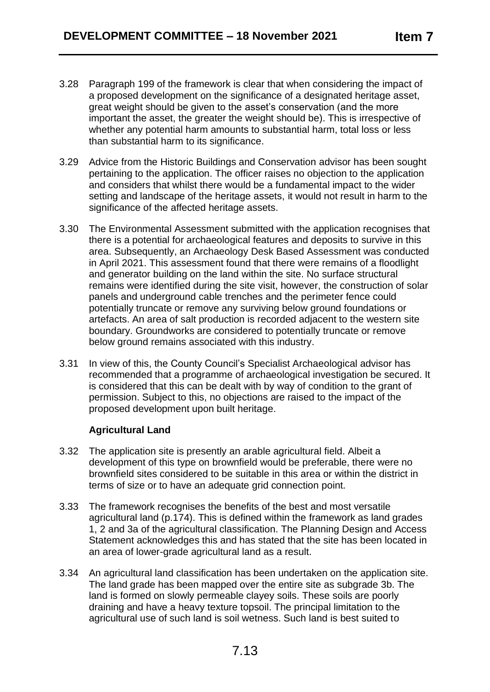- 3.28 Paragraph 199 of the framework is clear that when considering the impact of a proposed development on the significance of a designated heritage asset, great weight should be given to the asset's conservation (and the more important the asset, the greater the weight should be). This is irrespective of whether any potential harm amounts to substantial harm, total loss or less than substantial harm to its significance.
- 3.29 Advice from the Historic Buildings and Conservation advisor has been sought pertaining to the application. The officer raises no objection to the application and considers that whilst there would be a fundamental impact to the wider setting and landscape of the heritage assets, it would not result in harm to the significance of the affected heritage assets.
- 3.30 The Environmental Assessment submitted with the application recognises that there is a potential for archaeological features and deposits to survive in this area. Subsequently, an Archaeology Desk Based Assessment was conducted in April 2021. This assessment found that there were remains of a floodlight and generator building on the land within the site. No surface structural remains were identified during the site visit, however, the construction of solar panels and underground cable trenches and the perimeter fence could potentially truncate or remove any surviving below ground foundations or artefacts. An area of salt production is recorded adjacent to the western site boundary. Groundworks are considered to potentially truncate or remove below ground remains associated with this industry.
- 3.31 In view of this, the County Council's Specialist Archaeological advisor has recommended that a programme of archaeological investigation be secured. It is considered that this can be dealt with by way of condition to the grant of permission. Subject to this, no objections are raised to the impact of the proposed development upon built heritage.

## **Agricultural Land**

- 3.32 The application site is presently an arable agricultural field. Albeit a development of this type on brownfield would be preferable, there were no brownfield sites considered to be suitable in this area or within the district in terms of size or to have an adequate grid connection point.
- 3.33 The framework recognises the benefits of the best and most versatile agricultural land (p.174). This is defined within the framework as land grades 1, 2 and 3a of the agricultural classification. The Planning Design and Access Statement acknowledges this and has stated that the site has been located in an area of lower-grade agricultural land as a result.
- 3.34 An agricultural land classification has been undertaken on the application site. The land grade has been mapped over the entire site as subgrade 3b. The land is formed on slowly permeable clayey soils. These soils are poorly draining and have a heavy texture topsoil. The principal limitation to the agricultural use of such land is soil wetness. Such land is best suited to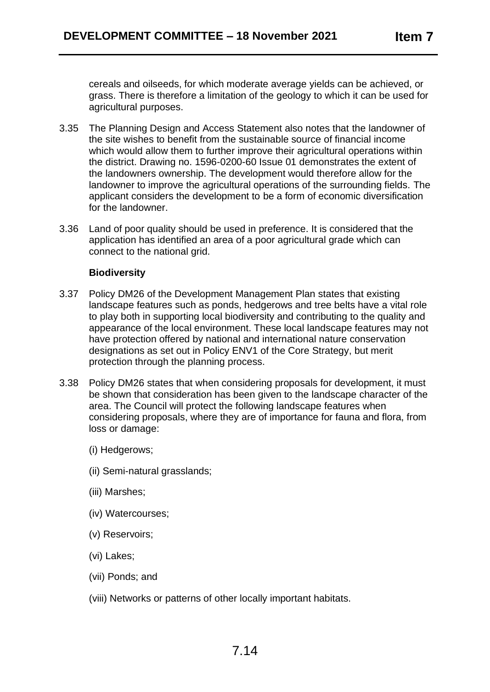cereals and oilseeds, for which moderate average yields can be achieved, or grass. There is therefore a limitation of the geology to which it can be used for agricultural purposes.

- 3.35 The Planning Design and Access Statement also notes that the landowner of the site wishes to benefit from the sustainable source of financial income which would allow them to further improve their agricultural operations within the district. Drawing no. 1596-0200-60 Issue 01 demonstrates the extent of the landowners ownership. The development would therefore allow for the landowner to improve the agricultural operations of the surrounding fields. The applicant considers the development to be a form of economic diversification for the landowner.
- 3.36 Land of poor quality should be used in preference. It is considered that the application has identified an area of a poor agricultural grade which can connect to the national grid.

#### **Biodiversity**

- 3.37 Policy DM26 of the Development Management Plan states that existing landscape features such as ponds, hedgerows and tree belts have a vital role to play both in supporting local biodiversity and contributing to the quality and appearance of the local environment. These local landscape features may not have protection offered by national and international nature conservation designations as set out in Policy ENV1 of the Core Strategy, but merit protection through the planning process.
- 3.38 Policy DM26 states that when considering proposals for development, it must be shown that consideration has been given to the landscape character of the area. The Council will protect the following landscape features when considering proposals, where they are of importance for fauna and flora, from loss or damage:
	- (i) Hedgerows;
	- (ii) Semi-natural grasslands;
	- (iii) Marshes;
	- (iv) Watercourses;
	- (v) Reservoirs;
	- (vi) Lakes;
	- (vii) Ponds; and
	- (viii) Networks or patterns of other locally important habitats.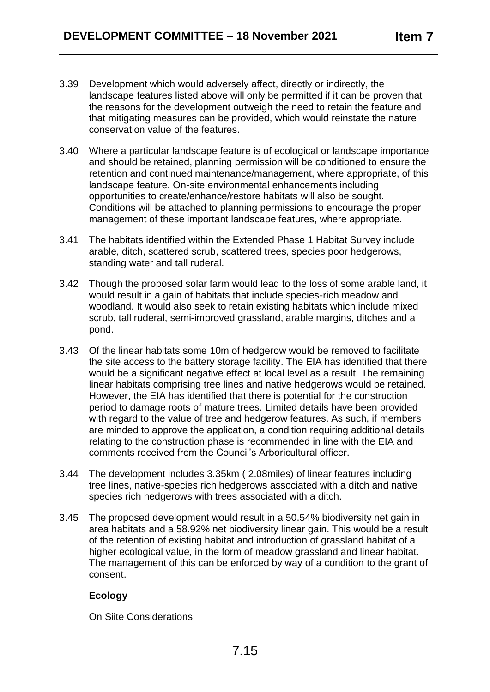- 3.39 Development which would adversely affect, directly or indirectly, the landscape features listed above will only be permitted if it can be proven that the reasons for the development outweigh the need to retain the feature and that mitigating measures can be provided, which would reinstate the nature conservation value of the features.
- 3.40 Where a particular landscape feature is of ecological or landscape importance and should be retained, planning permission will be conditioned to ensure the retention and continued maintenance/management, where appropriate, of this landscape feature. On-site environmental enhancements including opportunities to create/enhance/restore habitats will also be sought. Conditions will be attached to planning permissions to encourage the proper management of these important landscape features, where appropriate.
- 3.41 The habitats identified within the Extended Phase 1 Habitat Survey include arable, ditch, scattered scrub, scattered trees, species poor hedgerows, standing water and tall ruderal.
- 3.42 Though the proposed solar farm would lead to the loss of some arable land, it would result in a gain of habitats that include species-rich meadow and woodland. It would also seek to retain existing habitats which include mixed scrub, tall ruderal, semi-improved grassland, arable margins, ditches and a pond.
- 3.43 Of the linear habitats some 10m of hedgerow would be removed to facilitate the site access to the battery storage facility. The EIA has identified that there would be a significant negative effect at local level as a result. The remaining linear habitats comprising tree lines and native hedgerows would be retained. However, the EIA has identified that there is potential for the construction period to damage roots of mature trees. Limited details have been provided with regard to the value of tree and hedgerow features. As such, if members are minded to approve the application, a condition requiring additional details relating to the construction phase is recommended in line with the EIA and comments received from the Council's Arboricultural officer.
- 3.44 The development includes 3.35km ( 2.08miles) of linear features including tree lines, native-species rich hedgerows associated with a ditch and native species rich hedgerows with trees associated with a ditch.
- 3.45 The proposed development would result in a 50.54% biodiversity net gain in area habitats and a 58.92% net biodiversity linear gain. This would be a result of the retention of existing habitat and introduction of grassland habitat of a higher ecological value, in the form of meadow grassland and linear habitat. The management of this can be enforced by way of a condition to the grant of consent.

## **Ecology**

On Siite Considerations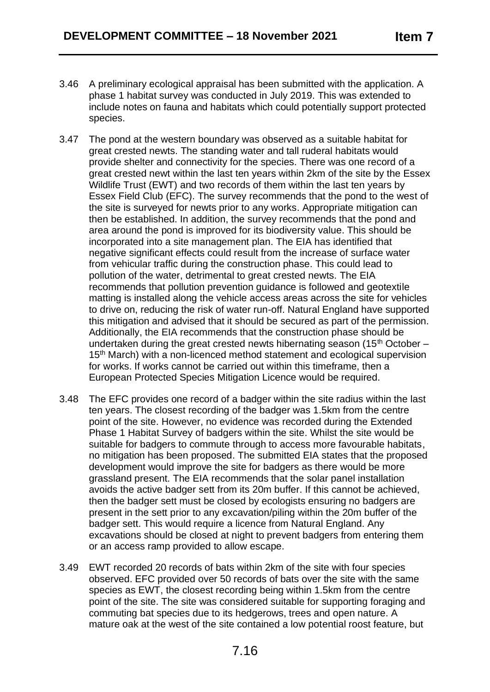- 3.46 A preliminary ecological appraisal has been submitted with the application. A phase 1 habitat survey was conducted in July 2019. This was extended to include notes on fauna and habitats which could potentially support protected species.
- 3.47 The pond at the western boundary was observed as a suitable habitat for great crested newts. The standing water and tall ruderal habitats would provide shelter and connectivity for the species. There was one record of a great crested newt within the last ten years within 2km of the site by the Essex Wildlife Trust (EWT) and two records of them within the last ten years by Essex Field Club (EFC). The survey recommends that the pond to the west of the site is surveyed for newts prior to any works. Appropriate mitigation can then be established. In addition, the survey recommends that the pond and area around the pond is improved for its biodiversity value. This should be incorporated into a site management plan. The EIA has identified that negative significant effects could result from the increase of surface water from vehicular traffic during the construction phase. This could lead to pollution of the water, detrimental to great crested newts. The EIA recommends that pollution prevention guidance is followed and geotextile matting is installed along the vehicle access areas across the site for vehicles to drive on, reducing the risk of water run-off. Natural England have supported this mitigation and advised that it should be secured as part of the permission. Additionally, the EIA recommends that the construction phase should be undertaken during the great crested newts hibernating season (15<sup>th</sup> October – 15<sup>th</sup> March) with a non-licenced method statement and ecological supervision for works. If works cannot be carried out within this timeframe, then a European Protected Species Mitigation Licence would be required.
- 3.48 The EFC provides one record of a badger within the site radius within the last ten years. The closest recording of the badger was 1.5km from the centre point of the site. However, no evidence was recorded during the Extended Phase 1 Habitat Survey of badgers within the site. Whilst the site would be suitable for badgers to commute through to access more favourable habitats, no mitigation has been proposed. The submitted EIA states that the proposed development would improve the site for badgers as there would be more grassland present. The EIA recommends that the solar panel installation avoids the active badger sett from its 20m buffer. If this cannot be achieved, then the badger sett must be closed by ecologists ensuring no badgers are present in the sett prior to any excavation/piling within the 20m buffer of the badger sett. This would require a licence from Natural England. Any excavations should be closed at night to prevent badgers from entering them or an access ramp provided to allow escape.
- 3.49 EWT recorded 20 records of bats within 2km of the site with four species observed. EFC provided over 50 records of bats over the site with the same species as EWT, the closest recording being within 1.5km from the centre point of the site. The site was considered suitable for supporting foraging and commuting bat species due to its hedgerows, trees and open nature. A mature oak at the west of the site contained a low potential roost feature, but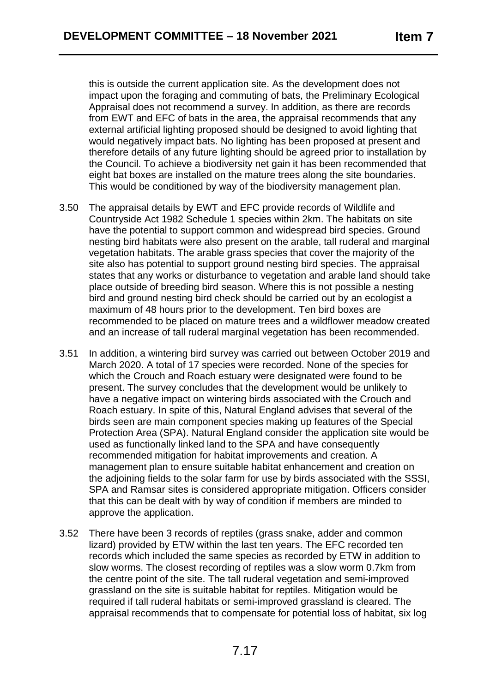this is outside the current application site. As the development does not impact upon the foraging and commuting of bats, the Preliminary Ecological Appraisal does not recommend a survey. In addition, as there are records from EWT and EFC of bats in the area, the appraisal recommends that any external artificial lighting proposed should be designed to avoid lighting that would negatively impact bats. No lighting has been proposed at present and therefore details of any future lighting should be agreed prior to installation by the Council. To achieve a biodiversity net gain it has been recommended that eight bat boxes are installed on the mature trees along the site boundaries. This would be conditioned by way of the biodiversity management plan.

- 3.50 The appraisal details by EWT and EFC provide records of Wildlife and Countryside Act 1982 Schedule 1 species within 2km. The habitats on site have the potential to support common and widespread bird species. Ground nesting bird habitats were also present on the arable, tall ruderal and marginal vegetation habitats. The arable grass species that cover the majority of the site also has potential to support ground nesting bird species. The appraisal states that any works or disturbance to vegetation and arable land should take place outside of breeding bird season. Where this is not possible a nesting bird and ground nesting bird check should be carried out by an ecologist a maximum of 48 hours prior to the development. Ten bird boxes are recommended to be placed on mature trees and a wildflower meadow created and an increase of tall ruderal marginal vegetation has been recommended.
- 3.51 In addition, a wintering bird survey was carried out between October 2019 and March 2020. A total of 17 species were recorded. None of the species for which the Crouch and Roach estuary were designated were found to be present. The survey concludes that the development would be unlikely to have a negative impact on wintering birds associated with the Crouch and Roach estuary. In spite of this, Natural England advises that several of the birds seen are main component species making up features of the Special Protection Area (SPA). Natural England consider the application site would be used as functionally linked land to the SPA and have consequently recommended mitigation for habitat improvements and creation. A management plan to ensure suitable habitat enhancement and creation on the adjoining fields to the solar farm for use by birds associated with the SSSI, SPA and Ramsar sites is considered appropriate mitigation. Officers consider that this can be dealt with by way of condition if members are minded to approve the application.
- 3.52 There have been 3 records of reptiles (grass snake, adder and common lizard) provided by ETW within the last ten years. The EFC recorded ten records which included the same species as recorded by ETW in addition to slow worms. The closest recording of reptiles was a slow worm 0.7km from the centre point of the site. The tall ruderal vegetation and semi-improved grassland on the site is suitable habitat for reptiles. Mitigation would be required if tall ruderal habitats or semi-improved grassland is cleared. The appraisal recommends that to compensate for potential loss of habitat, six log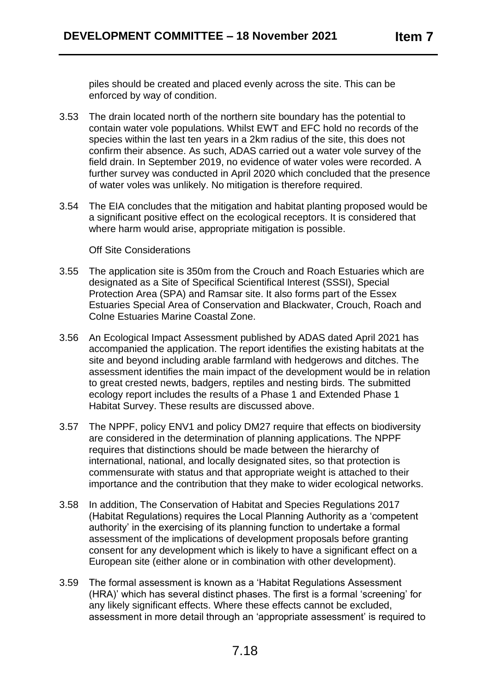piles should be created and placed evenly across the site. This can be enforced by way of condition.

- 3.53 The drain located north of the northern site boundary has the potential to contain water vole populations. Whilst EWT and EFC hold no records of the species within the last ten years in a 2km radius of the site, this does not confirm their absence. As such, ADAS carried out a water vole survey of the field drain. In September 2019, no evidence of water voles were recorded. A further survey was conducted in April 2020 which concluded that the presence of water voles was unlikely. No mitigation is therefore required.
- 3.54 The EIA concludes that the mitigation and habitat planting proposed would be a significant positive effect on the ecological receptors. It is considered that where harm would arise, appropriate mitigation is possible.

#### Off Site Considerations

- 3.55 The application site is 350m from the Crouch and Roach Estuaries which are designated as a Site of Specifical Scientifical Interest (SSSI), Special Protection Area (SPA) and Ramsar site. It also forms part of the Essex Estuaries Special Area of Conservation and Blackwater, Crouch, Roach and Colne Estuaries Marine Coastal Zone.
- 3.56 An Ecological Impact Assessment published by ADAS dated April 2021 has accompanied the application. The report identifies the existing habitats at the site and beyond including arable farmland with hedgerows and ditches. The assessment identifies the main impact of the development would be in relation to great crested newts, badgers, reptiles and nesting birds. The submitted ecology report includes the results of a Phase 1 and Extended Phase 1 Habitat Survey. These results are discussed above.
- 3.57 The NPPF, policy ENV1 and policy DM27 require that effects on biodiversity are considered in the determination of planning applications. The NPPF requires that distinctions should be made between the hierarchy of international, national, and locally designated sites, so that protection is commensurate with status and that appropriate weight is attached to their importance and the contribution that they make to wider ecological networks.
- 3.58 In addition, The Conservation of Habitat and Species Regulations 2017 (Habitat Regulations) requires the Local Planning Authority as a 'competent authority' in the exercising of its planning function to undertake a formal assessment of the implications of development proposals before granting consent for any development which is likely to have a significant effect on a European site (either alone or in combination with other development).
- 3.59 The formal assessment is known as a 'Habitat Regulations Assessment (HRA)' which has several distinct phases. The first is a formal 'screening' for any likely significant effects. Where these effects cannot be excluded, assessment in more detail through an 'appropriate assessment' is required to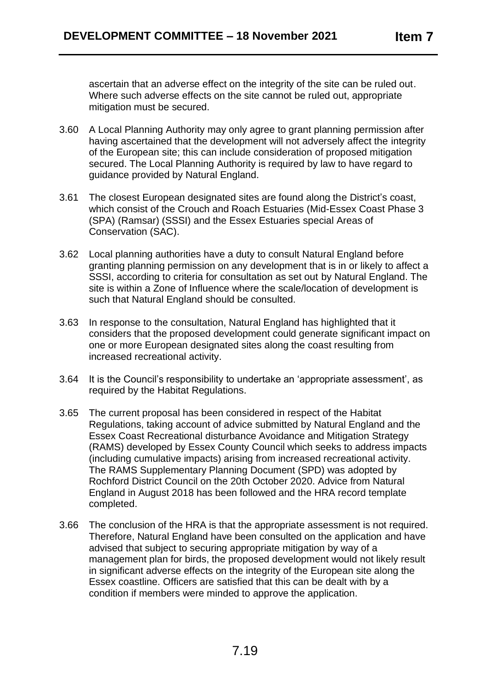ascertain that an adverse effect on the integrity of the site can be ruled out. Where such adverse effects on the site cannot be ruled out, appropriate mitigation must be secured.

- 3.60 A Local Planning Authority may only agree to grant planning permission after having ascertained that the development will not adversely affect the integrity of the European site; this can include consideration of proposed mitigation secured. The Local Planning Authority is required by law to have regard to guidance provided by Natural England.
- 3.61 The closest European designated sites are found along the District's coast, which consist of the Crouch and Roach Estuaries (Mid-Essex Coast Phase 3 (SPA) (Ramsar) (SSSI) and the Essex Estuaries special Areas of Conservation (SAC).
- 3.62 Local planning authorities have a duty to consult Natural England before granting planning permission on any development that is in or likely to affect a SSSI, according to criteria for consultation as set out by Natural England. The site is within a Zone of Influence where the scale/location of development is such that Natural England should be consulted.
- 3.63 In response to the consultation, Natural England has highlighted that it considers that the proposed development could generate significant impact on one or more European designated sites along the coast resulting from increased recreational activity.
- 3.64 It is the Council's responsibility to undertake an 'appropriate assessment', as required by the Habitat Regulations.
- 3.65 The current proposal has been considered in respect of the Habitat Regulations, taking account of advice submitted by Natural England and the Essex Coast Recreational disturbance Avoidance and Mitigation Strategy (RAMS) developed by Essex County Council which seeks to address impacts (including cumulative impacts) arising from increased recreational activity. The RAMS Supplementary Planning Document (SPD) was adopted by Rochford District Council on the 20th October 2020. Advice from Natural England in August 2018 has been followed and the HRA record template completed.
- 3.66 The conclusion of the HRA is that the appropriate assessment is not required. Therefore, Natural England have been consulted on the application and have advised that subject to securing appropriate mitigation by way of a management plan for birds, the proposed development would not likely result in significant adverse effects on the integrity of the European site along the Essex coastline. Officers are satisfied that this can be dealt with by a condition if members were minded to approve the application.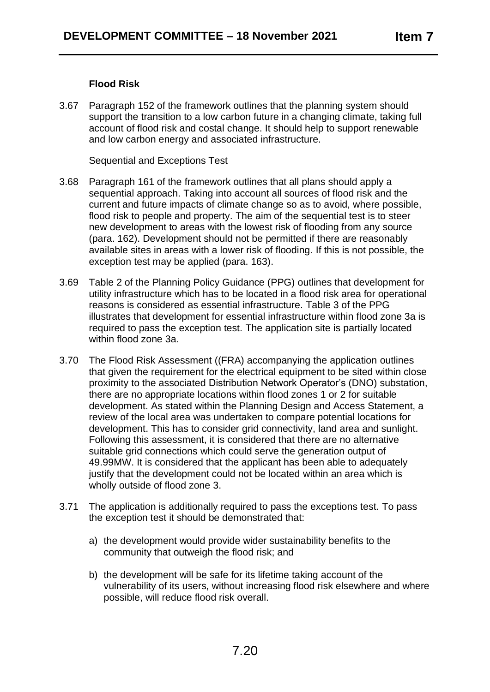### **Flood Risk**

3.67 Paragraph 152 of the framework outlines that the planning system should support the transition to a low carbon future in a changing climate, taking full account of flood risk and costal change. It should help to support renewable and low carbon energy and associated infrastructure.

Sequential and Exceptions Test

- 3.68 Paragraph 161 of the framework outlines that all plans should apply a sequential approach. Taking into account all sources of flood risk and the current and future impacts of climate change so as to avoid, where possible, flood risk to people and property. The aim of the sequential test is to steer new development to areas with the lowest risk of flooding from any source (para. 162). Development should not be permitted if there are reasonably available sites in areas with a lower risk of flooding. If this is not possible, the exception test may be applied (para. 163).
- 3.69 Table 2 of the Planning Policy Guidance (PPG) outlines that development for utility infrastructure which has to be located in a flood risk area for operational reasons is considered as essential infrastructure. Table 3 of the PPG illustrates that development for essential infrastructure within flood zone 3a is required to pass the exception test. The application site is partially located within flood zone 3a.
- 3.70 The Flood Risk Assessment ((FRA) accompanying the application outlines that given the requirement for the electrical equipment to be sited within close proximity to the associated Distribution Network Operator's (DNO) substation, there are no appropriate locations within flood zones 1 or 2 for suitable development. As stated within the Planning Design and Access Statement, a review of the local area was undertaken to compare potential locations for development. This has to consider grid connectivity, land area and sunlight. Following this assessment, it is considered that there are no alternative suitable grid connections which could serve the generation output of 49.99MW. It is considered that the applicant has been able to adequately justify that the development could not be located within an area which is wholly outside of flood zone 3.
- 3.71 The application is additionally required to pass the exceptions test. To pass the exception test it should be demonstrated that:
	- a) the development would provide wider sustainability benefits to the community that outweigh the flood risk; and
	- b) the development will be safe for its lifetime taking account of the vulnerability of its users, without increasing flood risk elsewhere and where possible, will reduce flood risk overall.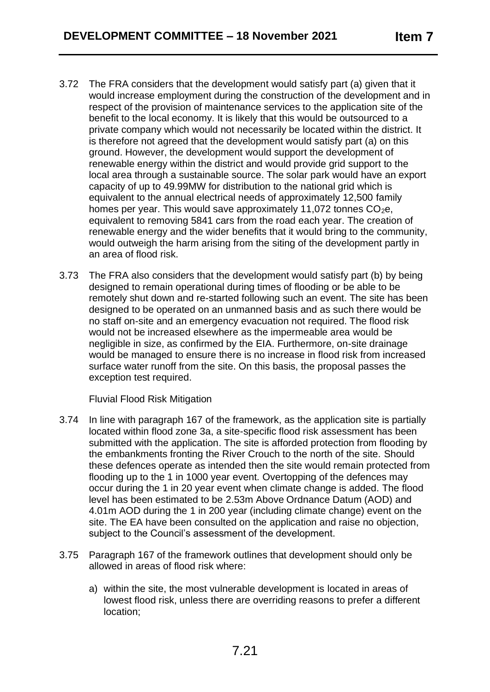- 3.72 The FRA considers that the development would satisfy part (a) given that it would increase employment during the construction of the development and in respect of the provision of maintenance services to the application site of the benefit to the local economy. It is likely that this would be outsourced to a private company which would not necessarily be located within the district. It is therefore not agreed that the development would satisfy part (a) on this ground. However, the development would support the development of renewable energy within the district and would provide grid support to the local area through a sustainable source. The solar park would have an export capacity of up to 49.99MW for distribution to the national grid which is equivalent to the annual electrical needs of approximately 12,500 family homes per year. This would save approximately 11,072 tonnes  $CO<sub>2</sub>e$ , equivalent to removing 5841 cars from the road each year. The creation of renewable energy and the wider benefits that it would bring to the community, would outweigh the harm arising from the siting of the development partly in an area of flood risk.
- 3.73 The FRA also considers that the development would satisfy part (b) by being designed to remain operational during times of flooding or be able to be remotely shut down and re-started following such an event. The site has been designed to be operated on an unmanned basis and as such there would be no staff on-site and an emergency evacuation not required. The flood risk would not be increased elsewhere as the impermeable area would be negligible in size, as confirmed by the EIA. Furthermore, on-site drainage would be managed to ensure there is no increase in flood risk from increased surface water runoff from the site. On this basis, the proposal passes the exception test required.

Fluvial Flood Risk Mitigation

- 3.74 In line with paragraph 167 of the framework, as the application site is partially located within flood zone 3a, a site-specific flood risk assessment has been submitted with the application. The site is afforded protection from flooding by the embankments fronting the River Crouch to the north of the site. Should these defences operate as intended then the site would remain protected from flooding up to the 1 in 1000 year event. Overtopping of the defences may occur during the 1 in 20 year event when climate change is added. The flood level has been estimated to be 2.53m Above Ordnance Datum (AOD) and 4.01m AOD during the 1 in 200 year (including climate change) event on the site. The EA have been consulted on the application and raise no objection, subject to the Council's assessment of the development.
- 3.75 Paragraph 167 of the framework outlines that development should only be allowed in areas of flood risk where:
	- a) within the site, the most vulnerable development is located in areas of lowest flood risk, unless there are overriding reasons to prefer a different location;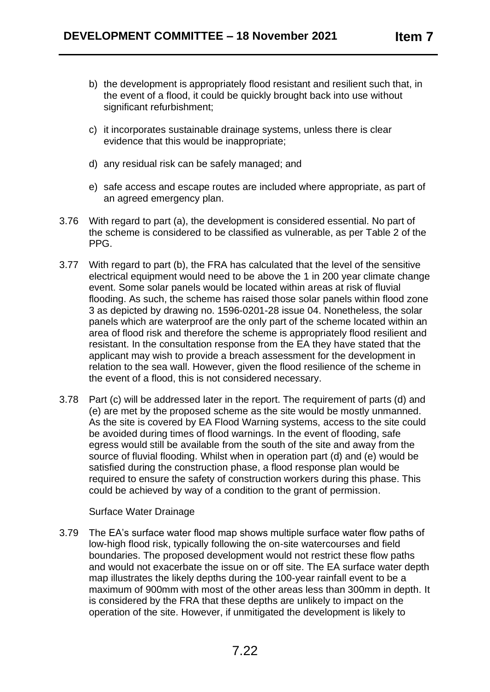- b) the development is appropriately flood resistant and resilient such that, in the event of a flood, it could be quickly brought back into use without significant refurbishment;
- c) it incorporates sustainable drainage systems, unless there is clear evidence that this would be inappropriate;
- d) any residual risk can be safely managed; and
- e) safe access and escape routes are included where appropriate, as part of an agreed emergency plan.
- 3.76 With regard to part (a), the development is considered essential. No part of the scheme is considered to be classified as vulnerable, as per Table 2 of the PPG.
- 3.77 With regard to part (b), the FRA has calculated that the level of the sensitive electrical equipment would need to be above the 1 in 200 year climate change event. Some solar panels would be located within areas at risk of fluvial flooding. As such, the scheme has raised those solar panels within flood zone 3 as depicted by drawing no. 1596-0201-28 issue 04. Nonetheless, the solar panels which are waterproof are the only part of the scheme located within an area of flood risk and therefore the scheme is appropriately flood resilient and resistant. In the consultation response from the EA they have stated that the applicant may wish to provide a breach assessment for the development in relation to the sea wall. However, given the flood resilience of the scheme in the event of a flood, this is not considered necessary.
- 3.78 Part (c) will be addressed later in the report. The requirement of parts (d) and (e) are met by the proposed scheme as the site would be mostly unmanned. As the site is covered by EA Flood Warning systems, access to the site could be avoided during times of flood warnings. In the event of flooding, safe egress would still be available from the south of the site and away from the source of fluvial flooding. Whilst when in operation part (d) and (e) would be satisfied during the construction phase, a flood response plan would be required to ensure the safety of construction workers during this phase. This could be achieved by way of a condition to the grant of permission.

#### Surface Water Drainage

3.79 The EA's surface water flood map shows multiple surface water flow paths of low-high flood risk, typically following the on-site watercourses and field boundaries. The proposed development would not restrict these flow paths and would not exacerbate the issue on or off site. The EA surface water depth map illustrates the likely depths during the 100-year rainfall event to be a maximum of 900mm with most of the other areas less than 300mm in depth. It is considered by the FRA that these depths are unlikely to impact on the operation of the site. However, if unmitigated the development is likely to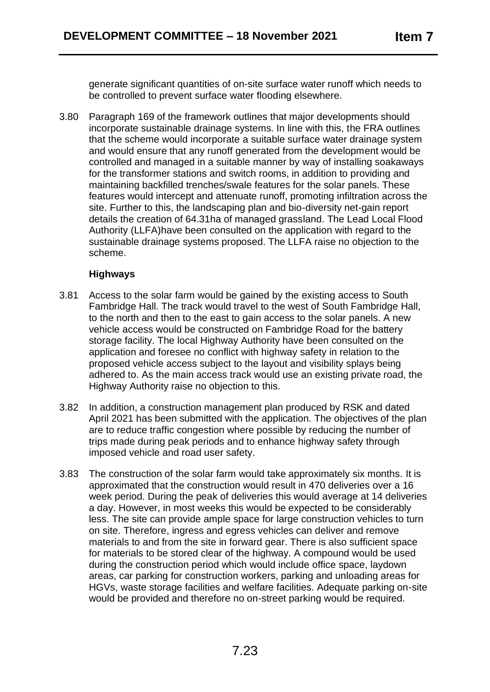generate significant quantities of on-site surface water runoff which needs to be controlled to prevent surface water flooding elsewhere.

3.80 Paragraph 169 of the framework outlines that major developments should incorporate sustainable drainage systems. In line with this, the FRA outlines that the scheme would incorporate a suitable surface water drainage system and would ensure that any runoff generated from the development would be controlled and managed in a suitable manner by way of installing soakaways for the transformer stations and switch rooms, in addition to providing and maintaining backfilled trenches/swale features for the solar panels. These features would intercept and attenuate runoff, promoting infiltration across the site. Further to this, the landscaping plan and bio-diversity net-gain report details the creation of 64.31ha of managed grassland. The Lead Local Flood Authority (LLFA)have been consulted on the application with regard to the sustainable drainage systems proposed. The LLFA raise no objection to the scheme.

### **Highways**

- 3.81 Access to the solar farm would be gained by the existing access to South Fambridge Hall. The track would travel to the west of South Fambridge Hall, to the north and then to the east to gain access to the solar panels. A new vehicle access would be constructed on Fambridge Road for the battery storage facility. The local Highway Authority have been consulted on the application and foresee no conflict with highway safety in relation to the proposed vehicle access subject to the layout and visibility splays being adhered to. As the main access track would use an existing private road, the Highway Authority raise no objection to this.
- 3.82 In addition, a construction management plan produced by RSK and dated April 2021 has been submitted with the application. The objectives of the plan are to reduce traffic congestion where possible by reducing the number of trips made during peak periods and to enhance highway safety through imposed vehicle and road user safety.
- 3.83 The construction of the solar farm would take approximately six months. It is approximated that the construction would result in 470 deliveries over a 16 week period. During the peak of deliveries this would average at 14 deliveries a day. However, in most weeks this would be expected to be considerably less. The site can provide ample space for large construction vehicles to turn on site. Therefore, ingress and egress vehicles can deliver and remove materials to and from the site in forward gear. There is also sufficient space for materials to be stored clear of the highway. A compound would be used during the construction period which would include office space, laydown areas, car parking for construction workers, parking and unloading areas for HGVs, waste storage facilities and welfare facilities. Adequate parking on-site would be provided and therefore no on-street parking would be required.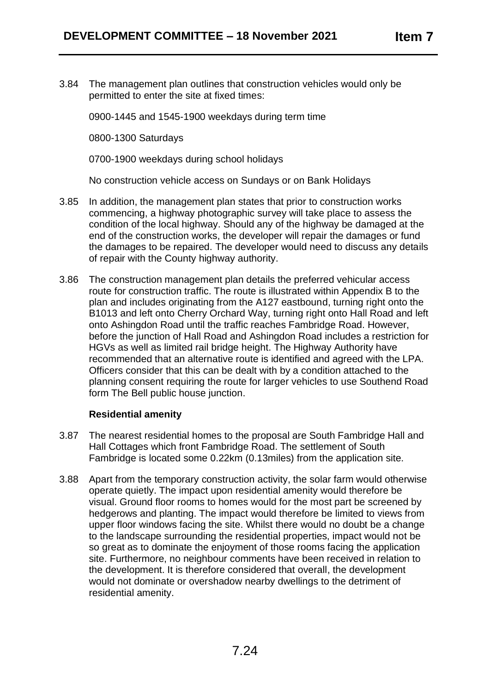3.84 The management plan outlines that construction vehicles would only be permitted to enter the site at fixed times:

0900-1445 and 1545-1900 weekdays during term time

0800-1300 Saturdays

0700-1900 weekdays during school holidays

No construction vehicle access on Sundays or on Bank Holidays

- 3.85 In addition, the management plan states that prior to construction works commencing, a highway photographic survey will take place to assess the condition of the local highway. Should any of the highway be damaged at the end of the construction works, the developer will repair the damages or fund the damages to be repaired. The developer would need to discuss any details of repair with the County highway authority.
- 3.86 The construction management plan details the preferred vehicular access route for construction traffic. The route is illustrated within Appendix B to the plan and includes originating from the A127 eastbound, turning right onto the B1013 and left onto Cherry Orchard Way, turning right onto Hall Road and left onto Ashingdon Road until the traffic reaches Fambridge Road. However, before the junction of Hall Road and Ashingdon Road includes a restriction for HGVs as well as limited rail bridge height. The Highway Authority have recommended that an alternative route is identified and agreed with the LPA. Officers consider that this can be dealt with by a condition attached to the planning consent requiring the route for larger vehicles to use Southend Road form The Bell public house junction.

#### **Residential amenity**

- 3.87 The nearest residential homes to the proposal are South Fambridge Hall and Hall Cottages which front Fambridge Road. The settlement of South Fambridge is located some 0.22km (0.13miles) from the application site.
- 3.88 Apart from the temporary construction activity, the solar farm would otherwise operate quietly. The impact upon residential amenity would therefore be visual. Ground floor rooms to homes would for the most part be screened by hedgerows and planting. The impact would therefore be limited to views from upper floor windows facing the site. Whilst there would no doubt be a change to the landscape surrounding the residential properties, impact would not be so great as to dominate the enjoyment of those rooms facing the application site. Furthermore, no neighbour comments have been received in relation to the development. It is therefore considered that overall, the development would not dominate or overshadow nearby dwellings to the detriment of residential amenity.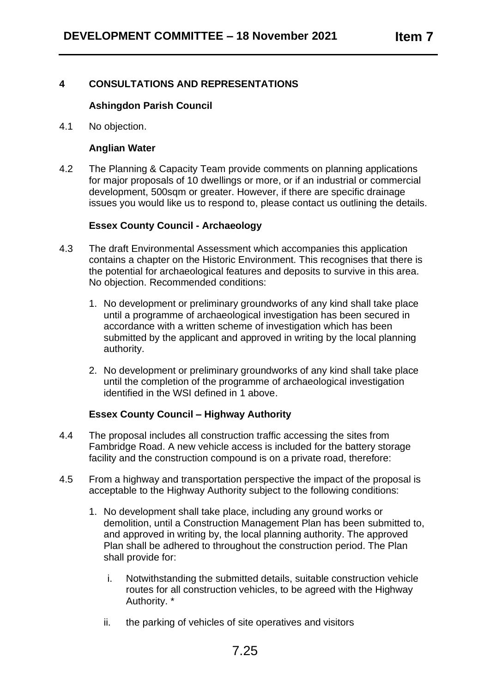## **4 CONSULTATIONS AND REPRESENTATIONS**

#### **Ashingdon Parish Council**

4.1 No objection.

#### **Anglian Water**

4.2 The Planning & Capacity Team provide comments on planning applications for major proposals of 10 dwellings or more, or if an industrial or commercial development, 500sqm or greater. However, if there are specific drainage issues you would like us to respond to, please contact us outlining the details.

#### **Essex County Council - Archaeology**

- 4.3 The draft Environmental Assessment which accompanies this application contains a chapter on the Historic Environment. This recognises that there is the potential for archaeological features and deposits to survive in this area. No objection. Recommended conditions:
	- 1. No development or preliminary groundworks of any kind shall take place until a programme of archaeological investigation has been secured in accordance with a written scheme of investigation which has been submitted by the applicant and approved in writing by the local planning authority.
	- 2. No development or preliminary groundworks of any kind shall take place until the completion of the programme of archaeological investigation identified in the WSI defined in 1 above.

## **Essex County Council – Highway Authority**

- 4.4 The proposal includes all construction traffic accessing the sites from Fambridge Road. A new vehicle access is included for the battery storage facility and the construction compound is on a private road, therefore:
- 4.5 From a highway and transportation perspective the impact of the proposal is acceptable to the Highway Authority subject to the following conditions:
	- 1. No development shall take place, including any ground works or demolition, until a Construction Management Plan has been submitted to, and approved in writing by, the local planning authority. The approved Plan shall be adhered to throughout the construction period. The Plan shall provide for:
		- i. Notwithstanding the submitted details, suitable construction vehicle routes for all construction vehicles, to be agreed with the Highway Authority. \*
		- ii. the parking of vehicles of site operatives and visitors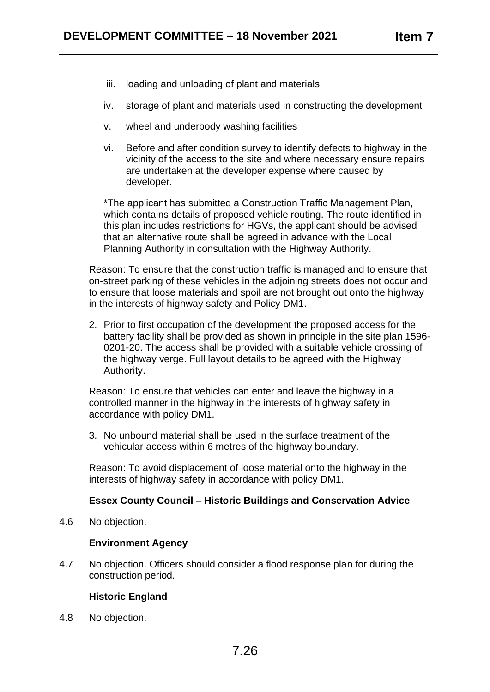- iii. loading and unloading of plant and materials
- iv. storage of plant and materials used in constructing the development
- v. wheel and underbody washing facilities
- vi. Before and after condition survey to identify defects to highway in the vicinity of the access to the site and where necessary ensure repairs are undertaken at the developer expense where caused by developer.

\*The applicant has submitted a Construction Traffic Management Plan, which contains details of proposed vehicle routing. The route identified in this plan includes restrictions for HGVs, the applicant should be advised that an alternative route shall be agreed in advance with the Local Planning Authority in consultation with the Highway Authority.

Reason: To ensure that the construction traffic is managed and to ensure that on-street parking of these vehicles in the adjoining streets does not occur and to ensure that loose materials and spoil are not brought out onto the highway in the interests of highway safety and Policy DM1.

2. Prior to first occupation of the development the proposed access for the battery facility shall be provided as shown in principle in the site plan 1596- 0201-20. The access shall be provided with a suitable vehicle crossing of the highway verge. Full layout details to be agreed with the Highway Authority.

Reason: To ensure that vehicles can enter and leave the highway in a controlled manner in the highway in the interests of highway safety in accordance with policy DM1.

3. No unbound material shall be used in the surface treatment of the vehicular access within 6 metres of the highway boundary.

Reason: To avoid displacement of loose material onto the highway in the interests of highway safety in accordance with policy DM1.

#### **Essex County Council – Historic Buildings and Conservation Advice**

4.6 No objection.

#### **Environment Agency**

4.7 No objection. Officers should consider a flood response plan for during the construction period.

## **Historic England**

4.8 No objection.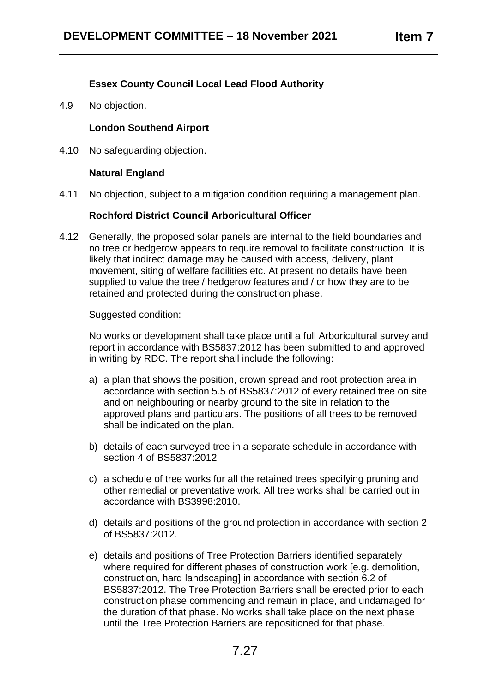## **Essex County Council Local Lead Flood Authority**

4.9 No objection.

#### **London Southend Airport**

4.10 No safeguarding objection.

#### **Natural England**

4.11 No objection, subject to a mitigation condition requiring a management plan.

## **Rochford District Council Arboricultural Officer**

4.12 Generally, the proposed solar panels are internal to the field boundaries and no tree or hedgerow appears to require removal to facilitate construction. It is likely that indirect damage may be caused with access, delivery, plant movement, siting of welfare facilities etc. At present no details have been supplied to value the tree / hedgerow features and / or how they are to be retained and protected during the construction phase.

Suggested condition:

No works or development shall take place until a full Arboricultural survey and report in accordance with BS5837:2012 has been submitted to and approved in writing by RDC. The report shall include the following:

- a) a plan that shows the position, crown spread and root protection area in accordance with section 5.5 of BS5837:2012 of every retained tree on site and on neighbouring or nearby ground to the site in relation to the approved plans and particulars. The positions of all trees to be removed shall be indicated on the plan.
- b) details of each surveyed tree in a separate schedule in accordance with section 4 of BS5837:2012
- c) a schedule of tree works for all the retained trees specifying pruning and other remedial or preventative work. All tree works shall be carried out in accordance with BS3998:2010.
- d) details and positions of the ground protection in accordance with section 2 of BS5837:2012.
- e) details and positions of Tree Protection Barriers identified separately where required for different phases of construction work [e.g. demolition, construction, hard landscaping] in accordance with section 6.2 of BS5837:2012. The Tree Protection Barriers shall be erected prior to each construction phase commencing and remain in place, and undamaged for the duration of that phase. No works shall take place on the next phase until the Tree Protection Barriers are repositioned for that phase.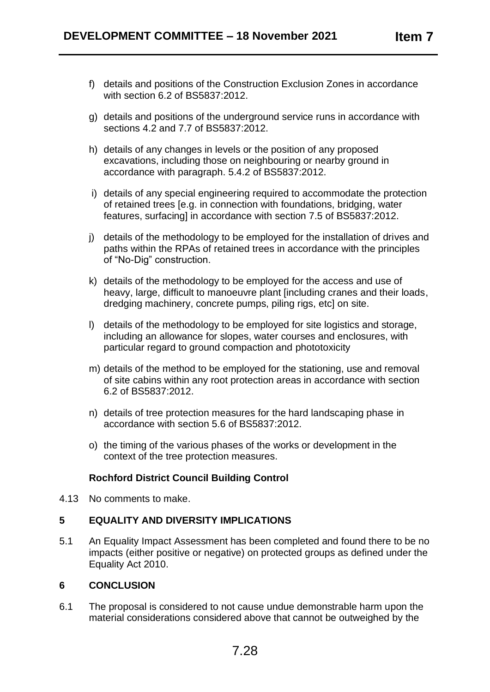- f) details and positions of the Construction Exclusion Zones in accordance with section 6.2 of BS5837:2012.
- g) details and positions of the underground service runs in accordance with sections 4.2 and 7.7 of BS5837:2012.
- h) details of any changes in levels or the position of any proposed excavations, including those on neighbouring or nearby ground in accordance with paragraph. 5.4.2 of BS5837:2012.
- i) details of any special engineering required to accommodate the protection of retained trees [e.g. in connection with foundations, bridging, water features, surfacing] in accordance with section 7.5 of BS5837:2012.
- j) details of the methodology to be employed for the installation of drives and paths within the RPAs of retained trees in accordance with the principles of "No-Dig" construction.
- k) details of the methodology to be employed for the access and use of heavy, large, difficult to manoeuvre plant [including cranes and their loads, dredging machinery, concrete pumps, piling rigs, etc] on site.
- l) details of the methodology to be employed for site logistics and storage, including an allowance for slopes, water courses and enclosures, with particular regard to ground compaction and phototoxicity
- m) details of the method to be employed for the stationing, use and removal of site cabins within any root protection areas in accordance with section 6.2 of BS5837:2012.
- n) details of tree protection measures for the hard landscaping phase in accordance with section 5.6 of BS5837:2012.
- o) the timing of the various phases of the works or development in the context of the tree protection measures.

## **Rochford District Council Building Control**

4.13 No comments to make.

#### **5 EQUALITY AND DIVERSITY IMPLICATIONS**

5.1 An Equality Impact Assessment has been completed and found there to be no impacts (either positive or negative) on protected groups as defined under the Equality Act 2010.

#### **6 CONCLUSION**

6.1 The proposal is considered to not cause undue demonstrable harm upon the material considerations considered above that cannot be outweighed by the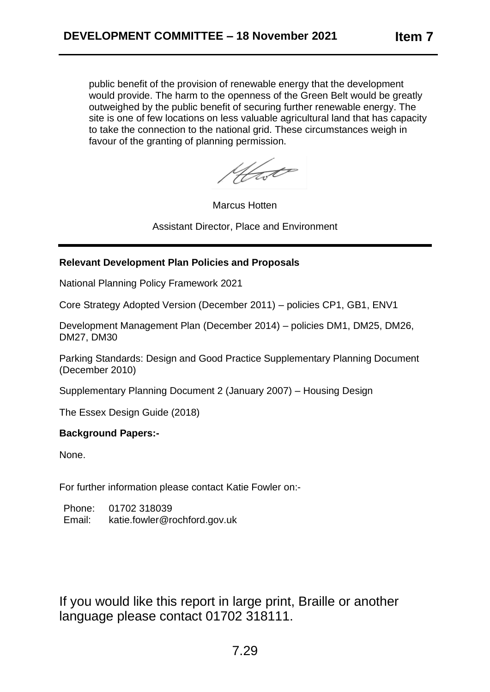public benefit of the provision of renewable energy that the development would provide. The harm to the openness of the Green Belt would be greatly outweighed by the public benefit of securing further renewable energy. The site is one of few locations on less valuable agricultural land that has capacity to take the connection to the national grid. These circumstances weigh in favour of the granting of planning permission.

Hast

Marcus Hotten

Assistant Director, Place and Environment

#### **Relevant Development Plan Policies and Proposals**

National Planning Policy Framework 2021

Core Strategy Adopted Version (December 2011) – policies CP1, GB1, ENV1

Development Management Plan (December 2014) – policies DM1, DM25, DM26, DM27, DM30

Parking Standards: Design and Good Practice Supplementary Planning Document (December 2010)

Supplementary Planning Document 2 (January 2007) – Housing Design

The Essex Design Guide (2018)

#### **Background Papers:-**

None.

For further information please contact Katie Fowler on:-

| Phone: | 01702 318039                 |
|--------|------------------------------|
| Email: | katie.fowler@rochford.gov.uk |

If you would like this report in large print, Braille or another language please contact 01702 318111.